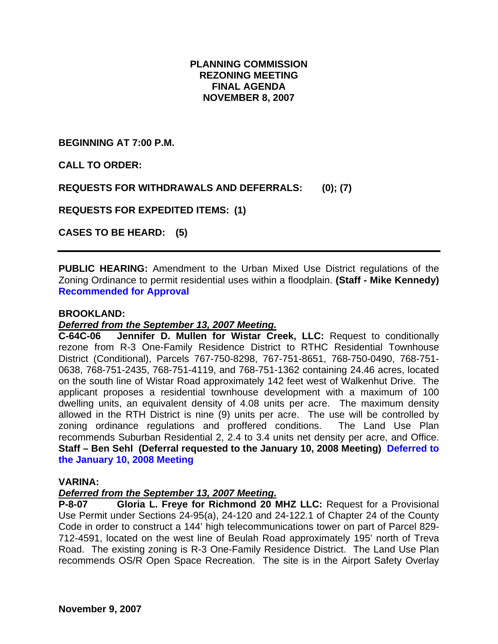# **PLANNING COMMISSION REZONING MEETING FINAL AGENDA NOVEMBER 8, 2007**

**BEGINNING AT 7:00 P.M.** 

**CALL TO ORDER:** 

**REQUESTS FOR WITHDRAWALS AND DEFERRALS: (0); (7)** 

**REQUESTS FOR EXPEDITED ITEMS: (1)** 

**CASES TO BE HEARD: (5)** 

**PUBLIC HEARING:** Amendment to the Urban Mixed Use District regulations of the Zoning Ordinance to permit residential uses within a floodplain. **(Staff - Mike Kennedy) Recommended for Approval**

#### **BROOKLAND:**

### *Deferred from the September 13, 2007 Meeting.*

**C-64C-06 Jennifer D. Mullen for Wistar Creek, LLC:** Request to conditionally rezone from R-3 One-Family Residence District to RTHC Residential Townhouse District (Conditional), Parcels 767-750-8298, 767-751-8651, 768-750-0490, 768-751- 0638, 768-751-2435, 768-751-4119, and 768-751-1362 containing 24.46 acres, located on the south line of Wistar Road approximately 142 feet west of Walkenhut Drive. The applicant proposes a residential townhouse development with a maximum of 100 dwelling units, an equivalent density of 4.08 units per acre. The maximum density allowed in the RTH District is nine (9) units per acre. The use will be controlled by zoning ordinance regulations and proffered conditions. The Land Use Plan recommends Suburban Residential 2, 2.4 to 3.4 units net density per acre, and Office. **Staff – Ben Sehl (Deferral requested to the January 10, 2008 Meeting) Deferred to the January 10, 2008 Meeting**

#### **VARINA:**

#### *Deferred from the September 13, 2007 Meeting.*

**P-8-07 Gloria L. Freye for Richmond 20 MHZ LLC:** Request for a Provisional Use Permit under Sections 24-95(a), 24-120 and 24-122.1 of Chapter 24 of the County Code in order to construct a 144' high telecommunications tower on part of Parcel 829- 712-4591, located on the west line of Beulah Road approximately 195' north of Treva Road. The existing zoning is R-3 One-Family Residence District. The Land Use Plan recommends OS/R Open Space Recreation. The site is in the Airport Safety Overlay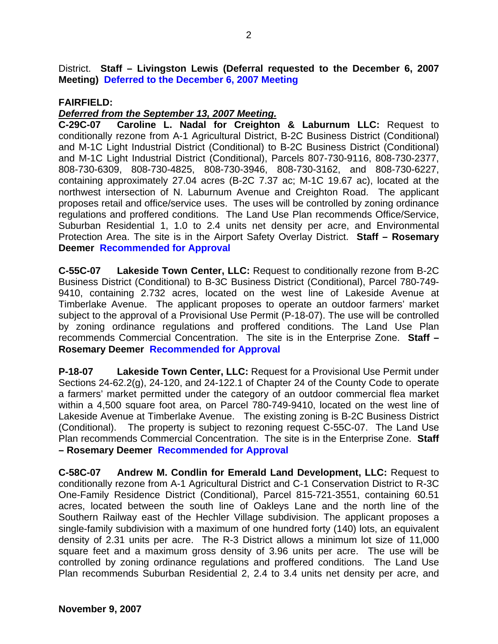District. **Staff – Livingston Lewis (Deferral requested to the December 6, 2007 Meeting) Deferred to the December 6, 2007 Meeting**

### **FAIRFIELD:**

### *Deferred from the September 13, 2007 Meeting.*

**C-29C-07 Caroline L. Nadal for Creighton & Laburnum LLC:** Request to conditionally rezone from A-1 Agricultural District, B-2C Business District (Conditional) and M-1C Light Industrial District (Conditional) to B-2C Business District (Conditional) and M-1C Light Industrial District (Conditional), Parcels 807-730-9116, 808-730-2377, 808-730-6309, 808-730-4825, 808-730-3946, 808-730-3162, and 808-730-6227, containing approximately 27.04 acres (B-2C 7.37 ac; M-1C 19.67 ac), located at the northwest intersection of N. Laburnum Avenue and Creighton Road. The applicant proposes retail and office/service uses. The uses will be controlled by zoning ordinance regulations and proffered conditions. The Land Use Plan recommends Office/Service, Suburban Residential 1, 1.0 to 2.4 units net density per acre, and Environmental Protection Area. The site is in the Airport Safety Overlay District. **Staff – Rosemary Deemer Recommended for Approval**

**C-55C-07 Lakeside Town Center, LLC:** Request to conditionally rezone from B-2C Business District (Conditional) to B-3C Business District (Conditional), Parcel 780-749- 9410, containing 2.732 acres, located on the west line of Lakeside Avenue at Timberlake Avenue. The applicant proposes to operate an outdoor farmers' market subject to the approval of a Provisional Use Permit (P-18-07). The use will be controlled by zoning ordinance regulations and proffered conditions. The Land Use Plan recommends Commercial Concentration. The site is in the Enterprise Zone. **Staff – Rosemary Deemer Recommended for Approval**

**P-18-07 Lakeside Town Center, LLC:** Request for a Provisional Use Permit under Sections 24-62.2(g), 24-120, and 24-122.1 of Chapter 24 of the County Code to operate a farmers' market permitted under the category of an outdoor commercial flea market within a 4,500 square foot area, on Parcel 780-749-9410, located on the west line of Lakeside Avenue at Timberlake Avenue. The existing zoning is B-2C Business District (Conditional). The property is subject to rezoning request C-55C-07. The Land Use Plan recommends Commercial Concentration. The site is in the Enterprise Zone. **Staff – Rosemary Deemer Recommended for Approval**

**C-58C-07 Andrew M. Condlin for Emerald Land Development, LLC:** Request to conditionally rezone from A-1 Agricultural District and C-1 Conservation District to R-3C One-Family Residence District (Conditional), Parcel 815-721-3551, containing 60.51 acres, located between the south line of Oakleys Lane and the north line of the Southern Railway east of the Hechler Village subdivision. The applicant proposes a single-family subdivision with a maximum of one hundred forty (140) lots, an equivalent density of 2.31 units per acre. The R-3 District allows a minimum lot size of 11,000 square feet and a maximum gross density of 3.96 units per acre. The use will be controlled by zoning ordinance regulations and proffered conditions. The Land Use Plan recommends Suburban Residential 2, 2.4 to 3.4 units net density per acre, and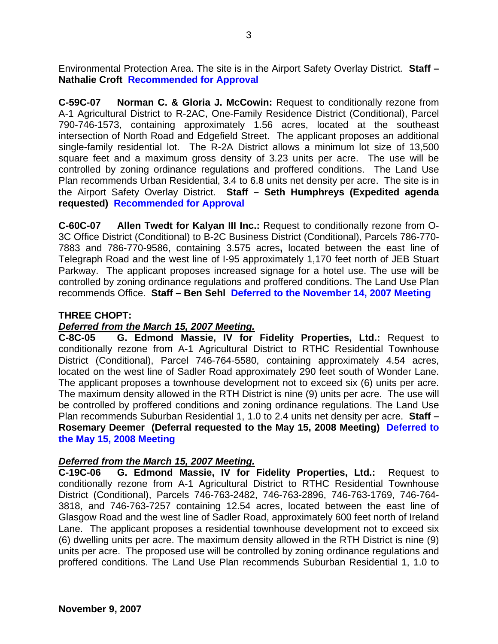Environmental Protection Area. The site is in the Airport Safety Overlay District. **Staff – Nathalie Croft Recommended for Approval**

**C-59C-07 Norman C. & Gloria J. McCowin:** Request to conditionally rezone from A-1 Agricultural District to R-2AC, One-Family Residence District (Conditional), Parcel 790-746-1573, containing approximately 1.56 acres, located at the southeast intersection of North Road and Edgefield Street. The applicant proposes an additional single-family residential lot. The R-2A District allows a minimum lot size of 13,500 square feet and a maximum gross density of 3.23 units per acre. The use will be controlled by zoning ordinance regulations and proffered conditions. The Land Use Plan recommends Urban Residential, 3.4 to 6.8 units net density per acre. The site is in the Airport Safety Overlay District. **Staff – Seth Humphreys (Expedited agenda requested) Recommended for Approval**

**C-60C-07 Allen Twedt for Kalyan III Inc.:** Request to conditionally rezone from O-3C Office District (Conditional) to B-2C Business District (Conditional), Parcels 786-770- 7883 and 786-770-9586, containing 3.575 acres**,** located between the east line of Telegraph Road and the west line of I-95 approximately 1,170 feet north of JEB Stuart Parkway. The applicant proposes increased signage for a hotel use. The use will be controlled by zoning ordinance regulations and proffered conditions. The Land Use Plan recommends Office. **Staff – Ben Sehl Deferred to the November 14, 2007 Meeting**

# **THREE CHOPT:**

# *Deferred from the March 15, 2007 Meeting.*

**C-8C-05 G. Edmond Massie, IV for Fidelity Properties, Ltd.:** Request to conditionally rezone from A-1 Agricultural District to RTHC Residential Townhouse District (Conditional), Parcel 746-764-5580, containing approximately 4.54 acres, located on the west line of Sadler Road approximately 290 feet south of Wonder Lane. The applicant proposes a townhouse development not to exceed six (6) units per acre. The maximum density allowed in the RTH District is nine (9) units per acre. The use will be controlled by proffered conditions and zoning ordinance regulations. The Land Use Plan recommends Suburban Residential 1, 1.0 to 2.4 units net density per acre. **Staff – Rosemary Deemer (Deferral requested to the May 15, 2008 Meeting) Deferred to the May 15, 2008 Meeting**

# *Deferred from the March 15, 2007 Meeting.*

**C-19C-06 G. Edmond Massie, IV for Fidelity Properties, Ltd.:** Request to conditionally rezone from A-1 Agricultural District to RTHC Residential Townhouse District (Conditional), Parcels 746-763-2482, 746-763-2896, 746-763-1769, 746-764- 3818, and 746-763-7257 containing 12.54 acres, located between the east line of Glasgow Road and the west line of Sadler Road, approximately 600 feet north of Ireland Lane. The applicant proposes a residential townhouse development not to exceed six (6) dwelling units per acre. The maximum density allowed in the RTH District is nine (9) units per acre. The proposed use will be controlled by zoning ordinance regulations and proffered conditions. The Land Use Plan recommends Suburban Residential 1, 1.0 to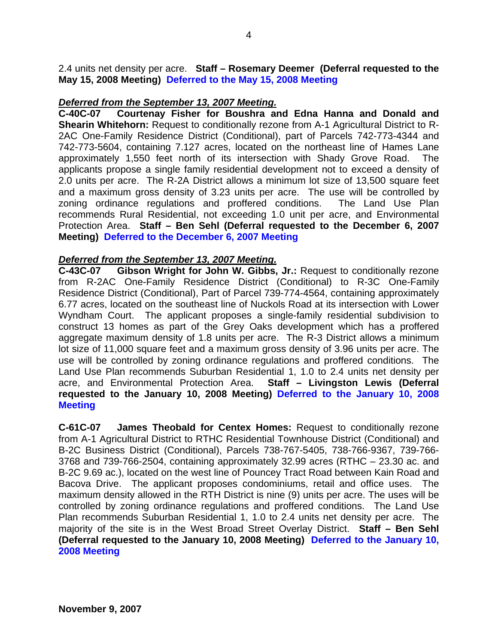2.4 units net density per acre. **Staff – Rosemary Deemer (Deferral requested to the May 15, 2008 Meeting) Deferred to the May 15, 2008 Meeting**

### *Deferred from the September 13, 2007 Meeting.*

**C-40C-07 Courtenay Fisher for Boushra and Edna Hanna and Donald and Shearin Whitehorn:** Request to conditionally rezone from A-1 Agricultural District to R-2AC One-Family Residence District (Conditional), part of Parcels 742-773-4344 and 742-773-5604, containing 7.127 acres, located on the northeast line of Hames Lane approximately 1,550 feet north of its intersection with Shady Grove Road. The applicants propose a single family residential development not to exceed a density of 2.0 units per acre. The R-2A District allows a minimum lot size of 13,500 square feet and a maximum gross density of 3.23 units per acre. The use will be controlled by zoning ordinance regulations and proffered conditions. The Land Use Plan recommends Rural Residential, not exceeding 1.0 unit per acre, and Environmental Protection Area. **Staff – Ben Sehl (Deferral requested to the December 6, 2007 Meeting) Deferred to the December 6, 2007 Meeting**

#### *Deferred from the September 13, 2007 Meeting.*

**C-43C-07 Gibson Wright for John W. Gibbs, Jr.:** Request to conditionally rezone from R-2AC One-Family Residence District (Conditional) to R-3C One-Family Residence District (Conditional), Part of Parcel 739-774-4564, containing approximately 6.77 acres, located on the southeast line of Nuckols Road at its intersection with Lower Wyndham Court. The applicant proposes a single-family residential subdivision to construct 13 homes as part of the Grey Oaks development which has a proffered aggregate maximum density of 1.8 units per acre. The R-3 District allows a minimum lot size of 11,000 square feet and a maximum gross density of 3.96 units per acre. The use will be controlled by zoning ordinance regulations and proffered conditions. The Land Use Plan recommends Suburban Residential 1, 1.0 to 2.4 units net density per acre, and Environmental Protection Area. **Staff – Livingston Lewis (Deferral requested to the January 10, 2008 Meeting) Deferred to the January 10, 2008 Meeting**

**C-61C-07 James Theobald for Centex Homes:** Request to conditionally rezone from A-1 Agricultural District to RTHC Residential Townhouse District (Conditional) and B-2C Business District (Conditional), Parcels 738-767-5405, 738-766-9367, 739-766- 3768 and 739-766-2504, containing approximately 32.99 acres (RTHC – 23.30 ac. and B-2C 9.69 ac.), located on the west line of Pouncey Tract Road between Kain Road and Bacova Drive. The applicant proposes condominiums, retail and office uses. The maximum density allowed in the RTH District is nine (9) units per acre. The uses will be controlled by zoning ordinance regulations and proffered conditions. The Land Use Plan recommends Suburban Residential 1, 1.0 to 2.4 units net density per acre. The majority of the site is in the West Broad Street Overlay District. **Staff – Ben Sehl (Deferral requested to the January 10, 2008 Meeting) Deferred to the January 10, 2008 Meeting**